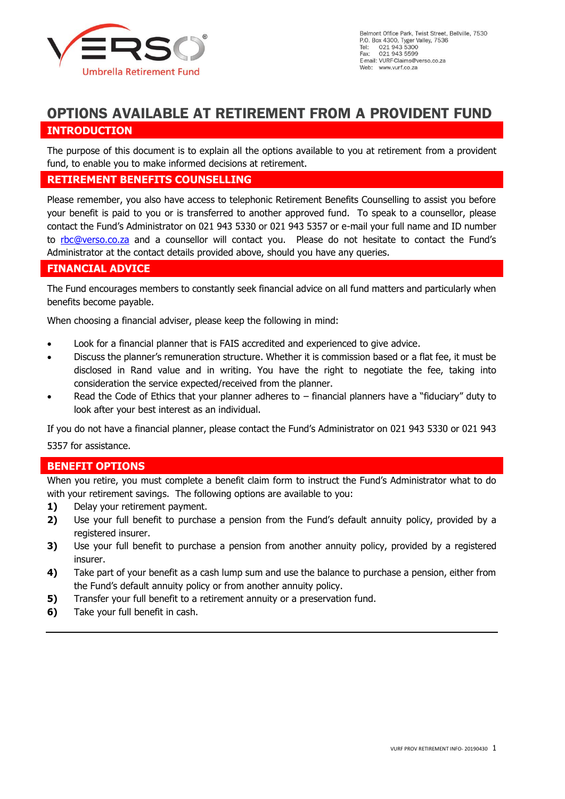

# **OPTIONS AVAILABLE AT RETIREMENT FROM A PROVIDENT FUND**

### **INTRODUCTION**

The purpose of this document is to explain all the options available to you at retirement from a provident fund, to enable you to make informed decisions at retirement.

#### **RETIREMENT BENEFITS COUNSELLING**

Please remember, you also have access to telephonic Retirement Benefits Counselling to assist you before your benefit is paid to you or is transferred to another approved fund. To speak to a counsellor, please contact the Fund's Administrator on 021 943 5330 or 021 943 5357 or e-mail your full name and ID number to [rbc@verso.co.za](mailto:rbc@verso.co.za) and a counsellor will contact you. Please do not hesitate to contact the Fund's Administrator at the contact details provided above, should you have any queries.

### **FINANCIAL ADVICE**

The Fund encourages members to constantly seek financial advice on all fund matters and particularly when benefits become payable.

When choosing a financial adviser, please keep the following in mind:

- Look for a financial planner that is FAIS accredited and experienced to give advice.
- Discuss the planner's remuneration structure. Whether it is commission based or a flat fee, it must be disclosed in Rand value and in writing. You have the right to negotiate the fee, taking into consideration the service expected/received from the planner.
- Read the Code of Ethics that your planner adheres to  $-$  financial planners have a "fiduciary" duty to look after your best interest as an individual.

If you do not have a financial planner, please contact the Fund's Administrator on 021 943 5330 or 021 943

5357 for assistance.

### **BENEFIT OPTIONS**

When you retire, you must complete a benefit claim form to instruct the Fund's Administrator what to do with your retirement savings. The following options are available to you:

- **1)** Delay your retirement payment.
- **2)** Use your full benefit to purchase a pension from the Fund's default annuity policy, provided by a registered insurer.
- **3)** Use your full benefit to purchase a pension from another annuity policy, provided by a registered insurer.
- **4)** Take part of your benefit as a cash lump sum and use the balance to purchase a pension, either from the Fund's default annuity policy or from another annuity policy.
- **5)** Transfer your full benefit to a retirement annuity or a preservation fund.
- **6)** Take your full benefit in cash.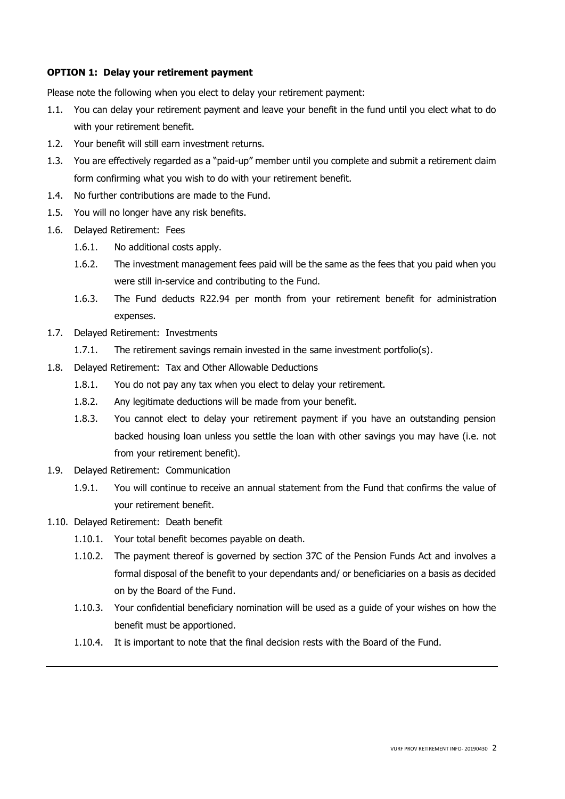#### **OPTION 1: Delay your retirement payment**

Please note the following when you elect to delay your retirement payment:

- 1.1. You can delay your retirement payment and leave your benefit in the fund until you elect what to do with your retirement benefit.
- 1.2. Your benefit will still earn investment returns.
- 1.3. You are effectively regarded as a "paid-up" member until you complete and submit a retirement claim form confirming what you wish to do with your retirement benefit.
- 1.4. No further contributions are made to the Fund.
- 1.5. You will no longer have any risk benefits.
- 1.6. Delayed Retirement: Fees
	- 1.6.1. No additional costs apply.
	- 1.6.2. The investment management fees paid will be the same as the fees that you paid when you were still in-service and contributing to the Fund.
	- 1.6.3. The Fund deducts R22.94 per month from your retirement benefit for administration expenses.
- 1.7. Delayed Retirement: Investments
	- 1.7.1. The retirement savings remain invested in the same investment portfolio(s).
- 1.8. Delayed Retirement: Tax and Other Allowable Deductions
	- 1.8.1. You do not pay any tax when you elect to delay your retirement.
	- 1.8.2. Any legitimate deductions will be made from your benefit.
	- 1.8.3. You cannot elect to delay your retirement payment if you have an outstanding pension backed housing loan unless you settle the loan with other savings you may have (i.e. not from your retirement benefit).
- 1.9. Delayed Retirement: Communication
	- 1.9.1. You will continue to receive an annual statement from the Fund that confirms the value of your retirement benefit.
- 1.10. Delayed Retirement: Death benefit
	- 1.10.1. Your total benefit becomes payable on death.
	- 1.10.2. The payment thereof is governed by section 37C of the Pension Funds Act and involves a formal disposal of the benefit to your dependants and/ or beneficiaries on a basis as decided on by the Board of the Fund.
	- 1.10.3. Your confidential beneficiary nomination will be used as a guide of your wishes on how the benefit must be apportioned.
	- 1.10.4. It is important to note that the final decision rests with the Board of the Fund.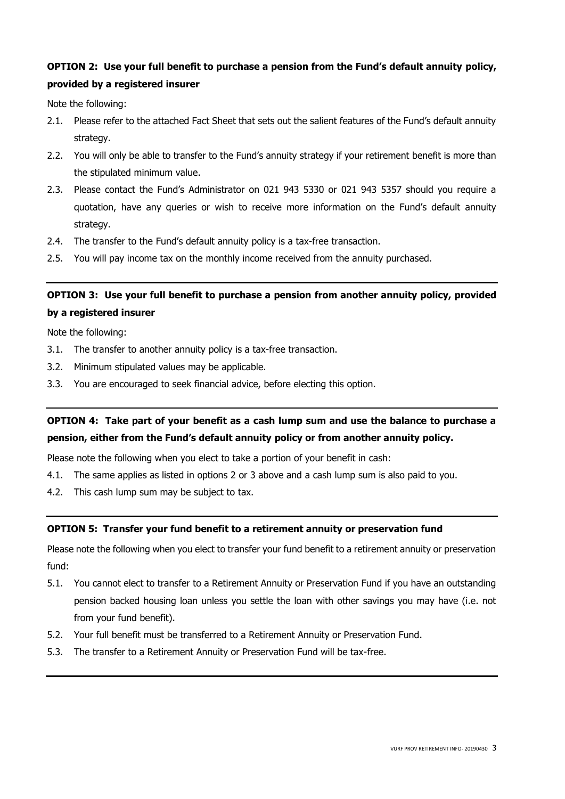# **OPTION 2: Use your full benefit to purchase a pension from the Fund's default annuity policy, provided by a registered insurer**

Note the following:

- 2.1. Please refer to the attached Fact Sheet that sets out the salient features of the Fund's default annuity strategy.
- 2.2. You will only be able to transfer to the Fund's annuity strategy if your retirement benefit is more than the stipulated minimum value.
- 2.3. Please contact the Fund's Administrator on 021 943 5330 or 021 943 5357 should you require a quotation, have any queries or wish to receive more information on the Fund's default annuity strategy.
- 2.4. The transfer to the Fund's default annuity policy is a tax-free transaction.
- 2.5. You will pay income tax on the monthly income received from the annuity purchased.

### **OPTION 3: Use your full benefit to purchase a pension from another annuity policy, provided by a registered insurer**

Note the following:

- 3.1. The transfer to another annuity policy is a tax-free transaction.
- 3.2. Minimum stipulated values may be applicable.
- 3.3. You are encouraged to seek financial advice, before electing this option.

# **OPTION 4: Take part of your benefit as a cash lump sum and use the balance to purchase a pension, either from the Fund's default annuity policy or from another annuity policy.**

Please note the following when you elect to take a portion of your benefit in cash:

- 4.1. The same applies as listed in options 2 or 3 above and a cash lump sum is also paid to you.
- 4.2. This cash lump sum may be subject to tax.

#### **OPTION 5: Transfer your fund benefit to a retirement annuity or preservation fund**

Please note the following when you elect to transfer your fund benefit to a retirement annuity or preservation fund:

- 5.1. You cannot elect to transfer to a Retirement Annuity or Preservation Fund if you have an outstanding pension backed housing loan unless you settle the loan with other savings you may have (i.e. not from your fund benefit).
- 5.2. Your full benefit must be transferred to a Retirement Annuity or Preservation Fund.
- 5.3. The transfer to a Retirement Annuity or Preservation Fund will be tax-free.